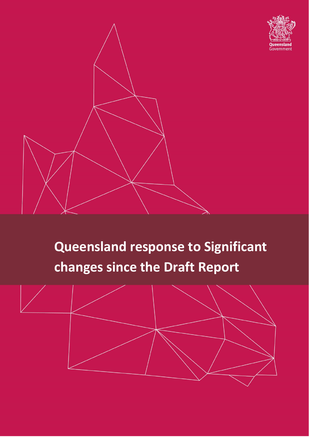



# **Queensland response to Significant changes since the Draft Report**

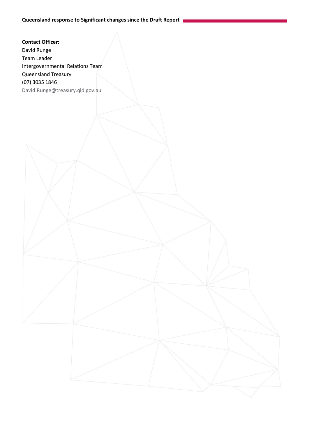**Contact Officer:** David Runge Team Leader Intergovernmental Relations Team Queensland Treasury (07) 3035 1846 [David.Runge@treasury.qld.gov.au](mailto:David.Runge@treasury.qld.gov.au)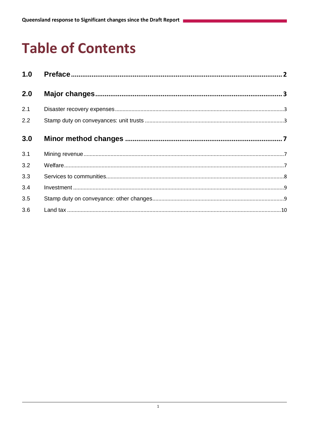# **Table of Contents**

| 1.0 |  |
|-----|--|
| 2.0 |  |
| 2.1 |  |
| 2.2 |  |
| 3.0 |  |
| 3.1 |  |
| 3.2 |  |
| 3.3 |  |
| 3.4 |  |
| 3.5 |  |
| 3.6 |  |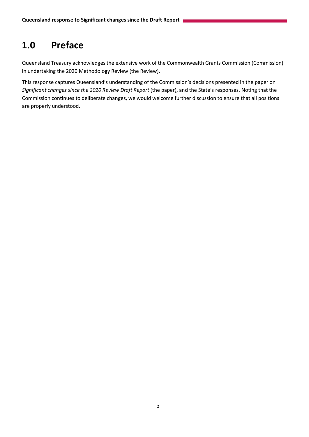# <span id="page-3-0"></span>**1.0 Preface**

Queensland Treasury acknowledges the extensive work of the Commonwealth Grants Commission (Commission) in undertaking the 2020 Methodology Review (the Review).

This response captures Queensland's understanding of the Commission's decisions presented in the paper on *Significant changes since the 2020 Review Draft Report* (the paper), and the State's responses. Noting that the Commission continues to deliberate changes, we would welcome further discussion to ensure that all positions are properly understood.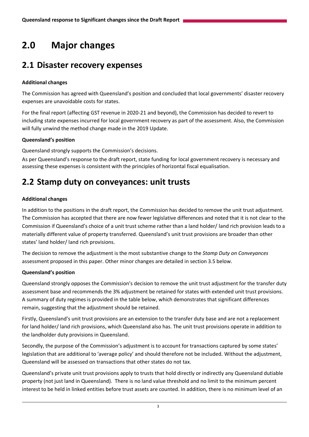# <span id="page-4-0"></span>**2.0 Major changes**

# <span id="page-4-1"></span>**2.1 Disaster recovery expenses**

#### **Additional changes**

The Commission has agreed with Queensland's position and concluded that local governments' disaster recovery expenses are unavoidable costs for states.

For the final report (affecting GST revenue in 2020-21 and beyond), the Commission has decided to revert to including state expenses incurred for local government recovery as part of the assessment. Also, the Commission will fully unwind the method change made in the 2019 Update.

#### **Queensland's position**

Queensland strongly supports the Commission's decisions.

As per Queensland's response to the draft report, state funding for local government recovery is necessary and assessing these expenses is consistent with the principles of horizontal fiscal equalisation.

# <span id="page-4-2"></span>**2.2 Stamp duty on conveyances: unit trusts**

#### **Additional changes**

In addition to the positions in the draft report, the Commission has decided to remove the unit trust adjustment. The Commission has accepted that there are now fewer legislative differences and noted that it is not clear to the Commission if Queensland's choice of a unit trust scheme rather than a land holder/ land rich provision leads to a materially different value of property transferred. Queensland's unit trust provisions are broader than other states' land holder/ land rich provisions.

The decision to remove the adjustment is the most substantive change to the *Stamp Duty on Conveyances* assessment proposed in this paper. Other minor changes are detailed in section 3.5 below.

#### **Queensland's position**

Queensland strongly opposes the Commission's decision to remove the unit trust adjustment for the transfer duty assessment base and recommends the 3% adjustment be retained for states with extended unit trust provisions. A summary of duty regimes is provided in the table below, which demonstrates that significant differences remain, suggesting that the adjustment should be retained.

Firstly, Queensland's unit trust provisions are an extension to the transfer duty base and are not a replacement for land holder/ land rich provisions, which Queensland also has. The unit trust provisions operate in addition to the landholder duty provisions in Queensland.

Secondly, the purpose of the Commission's adjustment is to account for transactions captured by some states' legislation that are additional to 'average policy' and should therefore not be included. Without the adjustment, Queensland will be assessed on transactions that other states do not tax.

Queensland's private unit trust provisions apply to trusts that hold directly or indirectly any Queensland dutiable property (not just land in Queensland). There is no land value threshold and no limit to the minimum percent interest to be held in linked entities before trust assets are counted. In addition, there is no minimum level of an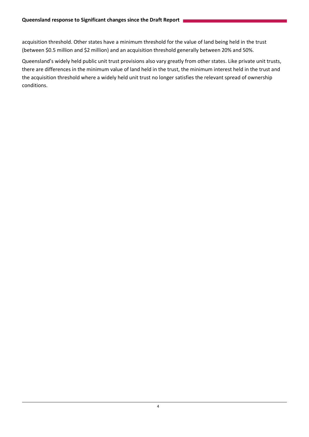acquisition threshold. Other states have a minimum threshold for the value of land being held in the trust (between \$0.5 million and \$2 million) and an acquisition threshold generally between 20% and 50%.

Queensland's widely held public unit trust provisions also vary greatly from other states. Like private unit trusts, there are differences in the minimum value of land held in the trust, the minimum interest held in the trust and the acquisition threshold where a widely held unit trust no longer satisfies the relevant spread of ownership conditions.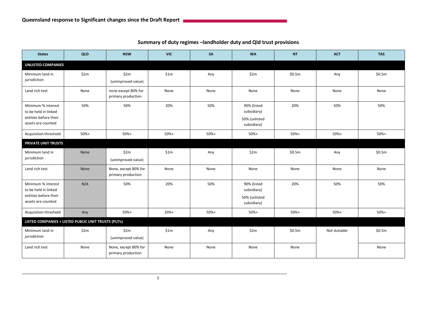| <b>States</b>                                                                             | QLD                        | <b>NSW</b>                                 | <b>VIC</b> | SA     | <b>WA</b>                                                  | <b>NT</b> | <b>ACT</b>   | <b>TAS</b> |  |
|-------------------------------------------------------------------------------------------|----------------------------|--------------------------------------------|------------|--------|------------------------------------------------------------|-----------|--------------|------------|--|
| <b>UNLISTED COMPANIES</b>                                                                 |                            |                                            |            |        |                                                            |           |              |            |  |
| Minimum land in<br>jurisdiction                                                           | \$2m                       | \$2m<br>(unimproved value)                 | \$1m       | Any    | \$2m                                                       | \$0.5m    | Any          | \$0.5m     |  |
| Land rich test                                                                            | None                       | none except 80% for<br>primary production  | None       | None   | None                                                       | None      | None         | None       |  |
| Minimum % interest<br>to be held in linked<br>entities before their<br>assets are counted | 50%                        | 50%                                        | 20%        | 50%    | 90% (listed<br>subsidiary)<br>50% (unlisted<br>subsidiary) | 20%       | 50%          | 50%        |  |
| Acquisition threshold                                                                     | $50%+$                     | $50%+$                                     | $50%+$     | $50%+$ | $50%+$                                                     | $50%+$    | $50%+$       | $50%+$     |  |
|                                                                                           | <b>PRIVATE UNIT TRUSTS</b> |                                            |            |        |                                                            |           |              |            |  |
| Minimum land in<br>jurisdiction                                                           | None                       | \$2m<br>(unimproved value)                 | \$1m       | Any    | \$2m                                                       | \$0.5m    | Any          | \$0.5m     |  |
| Land rich test                                                                            | None                       | None, except 80% for<br>primary production | None       | None   | None                                                       | None      | None         | None       |  |
| Minimum % interest<br>to be held in linked<br>entities before their<br>assets are counted | N/A                        | 50%                                        | 20%        | 50%    | 90% (listed<br>subsidiary)<br>50% (unlisted<br>subsidiary) | 20%       | 50%          | 50%        |  |
| Acquisition threshold                                                                     | Any                        | $50%+$                                     | $20%+$     | 50%+   | $50%+$                                                     | $50%+$    | $50%+$       | $50%+$     |  |
| LISTED COMPANIES + LISTED PUBLIC UNIT TRUSTS (PUTs)                                       |                            |                                            |            |        |                                                            |           |              |            |  |
| Minimum land in<br>jurisdiction                                                           | \$2m                       | \$2m<br>(unimproved value)                 | \$1m       | Any    | \$2m                                                       | \$0.5m    | Not dutiable | \$0.5m     |  |
| Land rich test                                                                            | None                       | None, except 80% for<br>primary production | None       | None   | None                                                       | None      |              | None       |  |

**Summary of duty regimes –landholder duty and Qld trust provisions**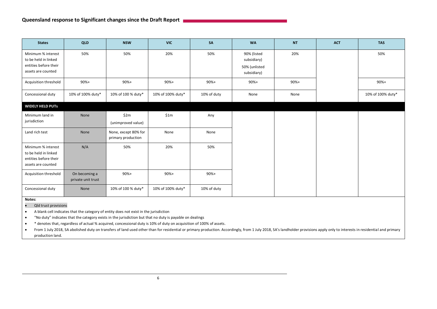| <b>States</b>                                                                             | QLD                                 | <b>NSW</b>                                 | <b>VIC</b>        | SA          | <b>WA</b>                                                  | <b>NT</b> | <b>ACT</b> | <b>TAS</b>        |  |
|-------------------------------------------------------------------------------------------|-------------------------------------|--------------------------------------------|-------------------|-------------|------------------------------------------------------------|-----------|------------|-------------------|--|
| Minimum % interest<br>to be held in linked<br>entities before their<br>assets are counted | 50%                                 | 50%                                        | 20%               | 50%         | 90% (listed<br>subsidiary)<br>50% (unlisted<br>subsidiary) | 20%       |            | 50%               |  |
| Acquisition threshold                                                                     | $90%+$                              | $90%+$                                     | $90%+$            | $90%+$      | $90%+$                                                     | $90%+$    |            | $90%+$            |  |
| Concessional duty                                                                         | 10% of 100% duty*                   | 10% of 100 % duty*                         | 10% of 100% duty* | 10% of duty | None                                                       | None      |            | 10% of 100% duty* |  |
| <b>WIDELY HELD PUTS</b>                                                                   |                                     |                                            |                   |             |                                                            |           |            |                   |  |
| Minimum land in<br>jurisdiction                                                           | None                                | \$2m<br>(unimproved value)                 | \$1m              | Any         |                                                            |           |            |                   |  |
| Land rich test                                                                            | None                                | None, except 80% for<br>primary production | None              | None        |                                                            |           |            |                   |  |
| Minimum % interest<br>to be held in linked<br>entities before their<br>assets are counted | N/A                                 | 50%                                        | 20%               | 50%         |                                                            |           |            |                   |  |
| Acquisition threshold                                                                     | On becoming a<br>private unit trust | $90%+$                                     | $90%+$            | $90%+$      |                                                            |           |            |                   |  |
| Concessional duty                                                                         | None                                | 10% of 100 % duty*                         | 10% of 100% duty* | 10% of duty |                                                            |           |            |                   |  |
| Notes:                                                                                    |                                     |                                            |                   |             |                                                            |           |            |                   |  |

Qld trust provisions

A blank cell indicates that the category of entity does not exist in the jurisdiction

"No duty" indicates that the category exists in the jurisdiction but that no duty is payable on dealings

\* denotes that, regardless of actual % acquired, concessional duty is 10% of duty on acquisition of 100% of assets.

• From 1 July 2018, SA abolished duty on transfers of land used other than for residential or primary production. Accordingly, from 1 July 2018, SA's landholder provisions apply only to interests in residential and primary production land.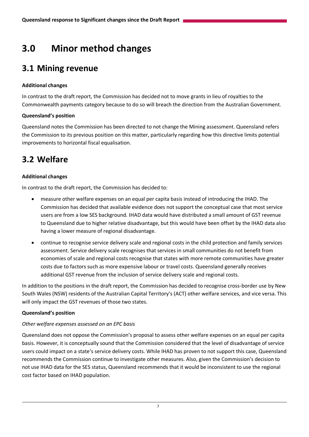# <span id="page-8-0"></span>**3.0 Minor method changes**

### <span id="page-8-1"></span>**3.1 Mining revenue**

#### **Additional changes**

In contrast to the draft report, the Commission has decided not to move grants in lieu of royalties to the Commonwealth payments category because to do so will breach the direction from the Australian Government.

#### **Queensland's position**

Queensland notes the Commission has been directed to not change the Mining assessment. Queensland refers the Commission to its previous position on this matter, particularly regarding how this directive limits potential improvements to horizontal fiscal equalisation.

## <span id="page-8-2"></span>**3.2 Welfare**

#### **Additional changes**

In contrast to the draft report, the Commission has decided to:

- measure other welfare expenses on an equal per capita basis instead of introducing the IHAD. The Commission has decided that available evidence does not support the conceptual case that most service users are from a low SES background. IHAD data would have distributed a small amount of GST revenue to Queensland due to higher relative disadvantage, but this would have been offset by the IHAD data also having a lower measure of regional disadvantage.
- continue to recognise service delivery scale and regional costs in the child protection and family services assessment. Service delivery scale recognises that services in small communities do not benefit from economies of scale and regional costs recognise that states with more remote communities have greater costs due to factors such as more expensive labour or travel costs. Queensland generally receives additional GST revenue from the inclusion of service delivery scale and regional costs.

In addition to the positions in the draft report, the Commission has decided to recognise cross-border use by New South Wales (NSW) residents of the Australian Capital Territory's (ACT) other welfare services, and vice versa. This will only impact the GST revenues of those two states.

#### **Queensland's position**

#### *Other welfare expenses assessed on an EPC basis*

Queensland does not oppose the Commission's proposal to assess other welfare expenses on an equal per capita basis. However, it is conceptually sound that the Commission considered that the level of disadvantage of service users could impact on a state's service delivery costs. While IHAD has proven to not support this case, Queensland recommends the Commission continue to investigate other measures. Also, given the Commission's decision to not use IHAD data for the SES status, Queensland recommends that it would be inconsistent to use the regional cost factor based on IHAD population.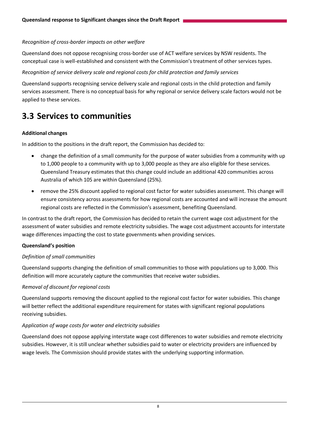#### *Recognition of cross-border impacts on other welfare*

Queensland does not oppose recognising cross-border use of ACT welfare services by NSW residents. The conceptual case is well-established and consistent with the Commission's treatment of other services types.

#### *Recognition of service delivery scale and regional costs for child protection and family services*

Queensland supports recognising service delivery scale and regional costs in the child protection and family services assessment. There is no conceptual basis for why regional or service delivery scale factors would not be applied to these services.

### <span id="page-9-0"></span>**3.3 Services to communities**

#### **Additional changes**

In addition to the positions in the draft report, the Commission has decided to:

- change the definition of a small community for the purpose of water subsidies from a community with up to 1,000 people to a community with up to 3,000 people as they are also eligible for these services. Queensland Treasury estimates that this change could include an additional 420 communities across Australia of which 105 are within Queensland (25%).
- remove the 25% discount applied to regional cost factor for water subsidies assessment. This change will ensure consistency across assessments for how regional costs are accounted and will increase the amount regional costs are reflected in the Commission's assessment, benefiting Queensland.

In contrast to the draft report, the Commission has decided to retain the current wage cost adjustment for the assessment of water subsidies and remote electricity subsidies. The wage cost adjustment accounts for interstate wage differences impacting the cost to state governments when providing services.

#### **Queensland's position**

#### *Definition of small communities*

Queensland supports changing the definition of small communities to those with populations up to 3,000. This definition will more accurately capture the communities that receive water subsidies.

#### *Removal of discount for regional costs*

Queensland supports removing the discount applied to the regional cost factor for water subsidies. This change will better reflect the additional expenditure requirement for states with significant regional populations receiving subsidies.

#### *Application of wage costs for water and electricity subsidies*

Queensland does not oppose applying interstate wage cost differences to water subsidies and remote electricity subsidies. However, it is still unclear whether subsidies paid to water or electricity providers are influenced by wage levels. The Commission should provide states with the underlying supporting information.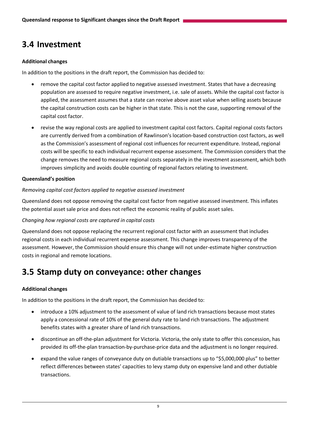# <span id="page-10-0"></span>**3.4 Investment**

#### **Additional changes**

In addition to the positions in the draft report, the Commission has decided to:

- remove the capital cost factor applied to negative assessed investment. States that have a decreasing population are assessed to require negative investment, i.e. sale of assets. While the capital cost factor is applied, the assessment assumes that a state can receive above asset value when selling assets because the capital construction costs can be higher in that state. This is not the case, supporting removal of the capital cost factor.
- revise the way regional costs are applied to investment capital cost factors. Capital regional costs factors are currently derived from a combination of Rawlinson's location-based construction cost factors, as well as the Commission's assessment of regional cost influences for recurrent expenditure. Instead, regional costs will be specific to each individual recurrent expense assessment. The Commission considers that the change removes the need to measure regional costs separately in the investment assessment, which both improves simplicity and avoids double counting of regional factors relating to investment.

#### **Queensland's position**

#### *Removing capital cost factors applied to negative assessed investment*

Queensland does not oppose removing the capital cost factor from negative assessed investment. This inflates the potential asset sale price and does not reflect the economic reality of public asset sales.

#### *Changing how regional costs are captured in capital costs*

Queensland does not oppose replacing the recurrent regional cost factor with an assessment that includes regional costs in each individual recurrent expense assessment. This change improves transparency of the assessment. However, the Commission should ensure this change will not under-estimate higher construction costs in regional and remote locations.

# <span id="page-10-1"></span>**3.5 Stamp duty on conveyance: other changes**

#### **Additional changes**

In addition to the positions in the draft report, the Commission has decided to:

- introduce a 10% adjustment to the assessment of value of land rich transactions because most states apply a concessional rate of 10% of the general duty rate to land rich transactions. The adjustment benefits states with a greater share of land rich transactions.
- discontinue an off-the-plan adjustment for Victoria. Victoria, the only state to offer this concession, has provided its off-the-plan transaction-by-purchase-price data and the adjustment is no longer required.
- expand the value ranges of conveyance duty on dutiable transactions up to "\$5,000,000 plus" to better reflect differences between states' capacities to levy stamp duty on expensive land and other dutiable transactions.